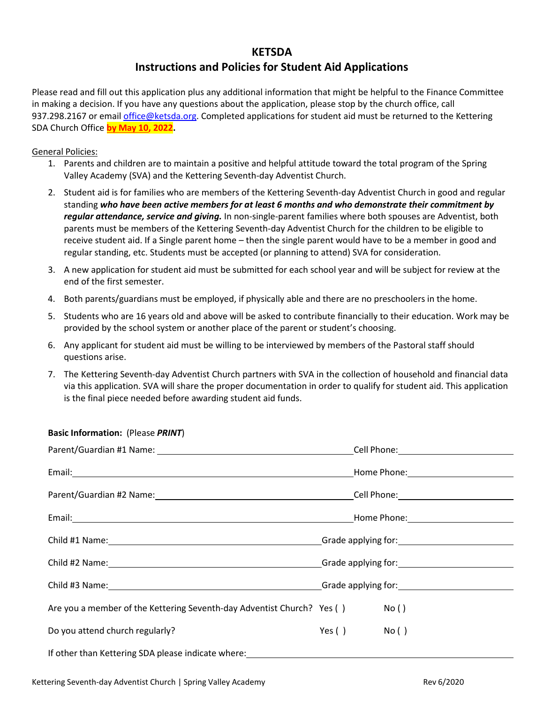## **KETSDA**

## **Instructions and Policies for Student Aid Applications**

Please read and fill out this application plus any additional information that might be helpful to the Finance Committee in making a decision. If you have any questions about the application, please stop by the church office, call 937.298.2167 or email [office@ketsda.org. C](mailto:office@ketsda.org)ompleted applications for student aid must be returned to the Kettering SDA Church Office **by May 10, 2022.**

## General Policies:

- 1. Parents and children are to maintain a positive and helpful attitude toward the total program of the Spring Valley Academy (SVA) and the Kettering Seventh-day Adventist Church.
- 2. Student aid is for families who are members of the Kettering Seventh-day Adventist Church in good and regular standing *who have been active members for at least 6 months and who demonstrate their commitment by regular attendance, service and giving.* In non-single-parent families where both spouses are Adventist, both parents must be members of the Kettering Seventh-day Adventist Church for the children to be eligible to receive student aid. If a Single parent home – then the single parent would have to be a member in good and regular standing, etc. Students must be accepted (or planning to attend) SVA for consideration.
- 3. A new application for student aid must be submitted for each school year and will be subject for review at the end of the first semester.
- 4. Both parents/guardians must be employed, if physically able and there are no preschoolers in the home.
- 5. Students who are 16 years old and above will be asked to contribute financially to their education. Work may be provided by the school system or another place of the parent or student's choosing.
- 6. Any applicant for student aid must be willing to be interviewed by members of the Pastoral staff should questions arise.
- 7. The Kettering Seventh-day Adventist Church partners with SVA in the collection of household and financial data via this application. SVA will share the proper documentation in order to qualify for student aid. This application is the final piece needed before awarding student aid funds.

| Are you a member of the Kettering Seventh-day Adventist Church? Yes () |            | No() |
|------------------------------------------------------------------------|------------|------|
| Do you attend church regularly?                                        | Yes() No() |      |
|                                                                        |            |      |

## **Basic Information:** (Please *PRINT*)